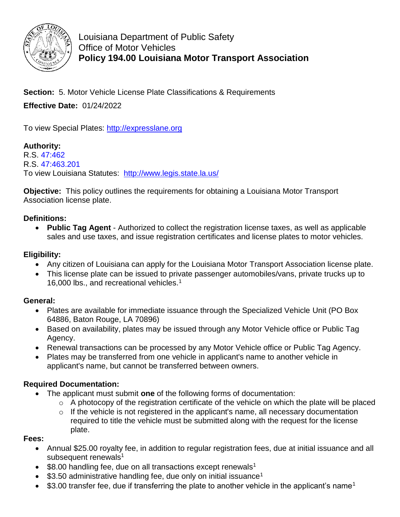

Louisiana Department of Public Safety Office of Motor Vehicles **Policy 194.00 Louisiana Motor Transport Association**

**Section:** 5. Motor Vehicle License Plate Classifications & Requirements **Effective Date:** 01/24/2022

To view Special Plates: [http://expresslane.org](http://expresslane.org/)

# **Authority:**

R.S. [47:462](http://www.legis.la.gov/Legis/Law.aspx?d=102142) R.S. [47:463.201](https://legis.la.gov/Legis/Law.aspx?d=1148932) To view Louisiana Statutes: <http://www.legis.state.la.us/>

**Objective:** This policy outlines the requirements for obtaining a Louisiana Motor Transport Association license plate.

### **Definitions:**

 **Public Tag Agent** - Authorized to collect the registration license taxes, as well as applicable sales and use taxes, and issue registration certificates and license plates to motor vehicles.

### **Eligibility:**

- Any citizen of Louisiana can apply for the Louisiana Motor Transport Association license plate.
- This license plate can be issued to private passenger automobiles/vans, private trucks up to 16,000 lbs., and recreational vehicles.<sup>1</sup>

### **General:**

- Plates are available for immediate issuance through the Specialized Vehicle Unit (PO Box 64886, Baton Rouge, LA 70896)
- Based on availability, plates may be issued through any Motor Vehicle office or Public Tag Agency.
- Renewal transactions can be processed by any Motor Vehicle office or Public Tag Agency.
- Plates may be transferred from one vehicle in applicant's name to another vehicle in applicant's name, but cannot be transferred between owners.

### **Required Documentation:**

- The applicant must submit **one** of the following forms of documentation:
	- $\circ$  A photocopy of the registration certificate of the vehicle on which the plate will be placed
	- o If the vehicle is not registered in the applicant's name, all necessary documentation required to title the vehicle must be submitted along with the request for the license plate.

#### **Fees:**

- Annual \$25.00 royalty fee, in addition to regular registration fees, due at initial issuance and all subsequent renewals $1$
- $\bullet$  \$8.00 handling fee, due on all transactions except renewals<sup>1</sup>
- $\bullet$  \$3.50 administrative handling fee, due only on initial issuance<sup>1</sup>
- $\bullet$  \$3.00 transfer fee, due if transferring the plate to another vehicle in the applicant's name<sup>1</sup>